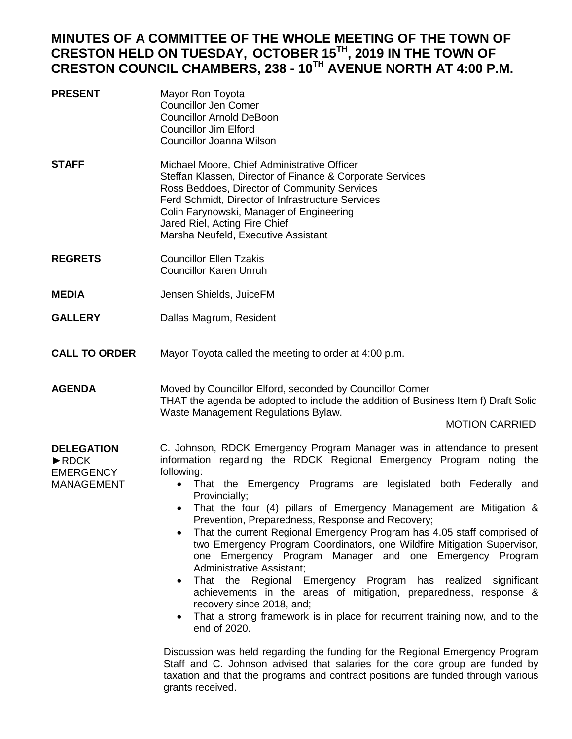# **MINUTES OF A COMMITTEE OF THE WHOLE MEETING OF THE TOWN OF CRESTON HELD ON TUESDAY, OCTOBER 15TH, 2019 IN THE TOWN OF CRESTON COUNCIL CHAMBERS, 238 - 10TH AVENUE NORTH AT 4:00 P.M.**

- **PRESENT** Mayor Ron Toyota Councillor Jen Comer Councillor Arnold DeBoon Councillor Jim Elford Councillor Joanna Wilson
- **STAFF** Michael Moore, Chief Administrative Officer Steffan Klassen, Director of Finance & Corporate Services Ross Beddoes, Director of Community Services Ferd Schmidt, Director of Infrastructure Services Colin Farynowski, Manager of Engineering Jared Riel, Acting Fire Chief Marsha Neufeld, Executive Assistant
- **REGRETS** Councillor Ellen Tzakis Councillor Karen Unruh
- **MEDIA** Jensen Shields, JuiceFM
- **GALLERY** Dallas Magrum, Resident
- **CALL TO ORDER** Mayor Toyota called the meeting to order at 4:00 p.m.

**AGENDA** Moved by Councillor Elford, seconded by Councillor Comer THAT the agenda be adopted to include the addition of Business Item f) Draft Solid Waste Management Regulations Bylaw.

#### MOTION CARRIED

**DELEGATION** ►RDCK EMERGENCY MANAGEMENT C. Johnson, RDCK Emergency Program Manager was in attendance to present information regarding the RDCK Regional Emergency Program noting the following: • That the Emergency Programs are legislated both Federally and

- Provincially;
- That the four (4) pillars of Emergency Management are Mitigation & Prevention, Preparedness, Response and Recovery;
- That the current Regional Emergency Program has 4.05 staff comprised of two Emergency Program Coordinators, one Wildfire Mitigation Supervisor, one Emergency Program Manager and one Emergency Program Administrative Assistant;
- That the Regional Emergency Program has realized significant achievements in the areas of mitigation, preparedness, response & recovery since 2018, and;
- That a strong framework is in place for recurrent training now, and to the end of 2020.

Discussion was held regarding the funding for the Regional Emergency Program Staff and C. Johnson advised that salaries for the core group are funded by taxation and that the programs and contract positions are funded through various grants received.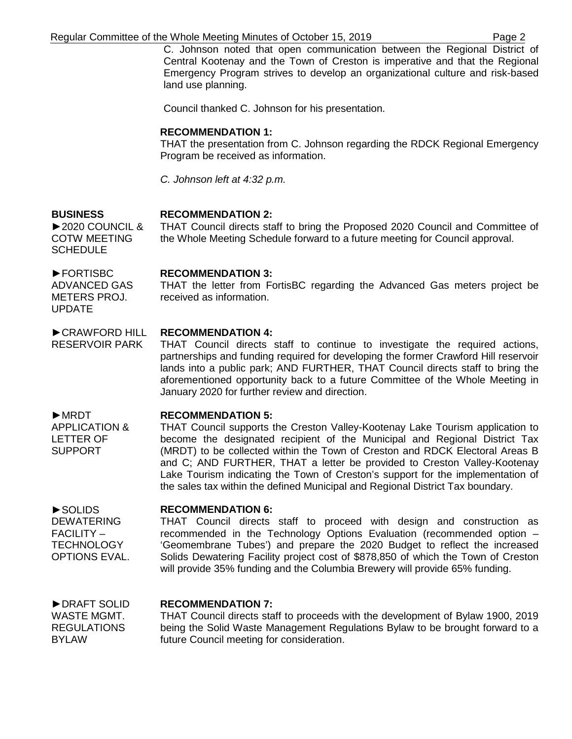C. Johnson noted that open communication between the Regional District of Central Kootenay and the Town of Creston is imperative and that the Regional Emergency Program strives to develop an organizational culture and risk-based land use planning.

Council thanked C. Johnson for his presentation.

#### **RECOMMENDATION 1:**

THAT the presentation from C. Johnson regarding the RDCK Regional Emergency Program be received as information.

*C. Johnson left at 4:32 p.m.*

## **RECOMMENDATION 2:**

►2020 COUNCIL & THAT Council directs staff to bring the Proposed 2020 Council and Committee of the Whole Meeting Schedule forward to a future meeting for Council approval.

#### **RECOMMENDATION 3:**

THAT the letter from FortisBC regarding the Advanced Gas meters project be received as information.

#### ►CRAWFORD HILL **RECOMMENDATION 4:**

RESERVOIR PARK THAT Council directs staff to continue to investigate the required actions, partnerships and funding required for developing the former Crawford Hill reservoir lands into a public park; AND FURTHER, THAT Council directs staff to bring the aforementioned opportunity back to a future Committee of the Whole Meeting in January 2020 for further review and direction.

### **RECOMMENDATION 5:**

THAT Council supports the Creston Valley-Kootenay Lake Tourism application to become the designated recipient of the Municipal and Regional District Tax (MRDT) to be collected within the Town of Creston and RDCK Electoral Areas B and C; AND FURTHER, THAT a letter be provided to Creston Valley-Kootenay Lake Tourism indicating the Town of Creston's support for the implementation of the sales tax within the defined Municipal and Regional District Tax boundary.

#### **RECOMMENDATION 6:**

►SOLIDS **DEWATERING** FACILITY – **TECHNOLOGY** OPTIONS EVAL.

►DRAFT SOLID

**BUSINESS**

►FORTISBC ADVANCED GAS METERS PROJ.

UPDATE

►MRDT

APPLICATION & LETTER OF SUPPORT

COTW MEETING **SCHEDULE** 

> THAT Council directs staff to proceed with design and construction as recommended in the Technology Options Evaluation (recommended option – 'Geomembrane Tubes') and prepare the 2020 Budget to reflect the increased Solids Dewatering Facility project cost of \$878,850 of which the Town of Creston will provide 35% funding and the Columbia Brewery will provide 65% funding.

#### **RECOMMENDATION 7:**

WASTE MGMT. REGULATIONS BYLAW THAT Council directs staff to proceeds with the development of Bylaw 1900, 2019 being the Solid Waste Management Regulations Bylaw to be brought forward to a future Council meeting for consideration.